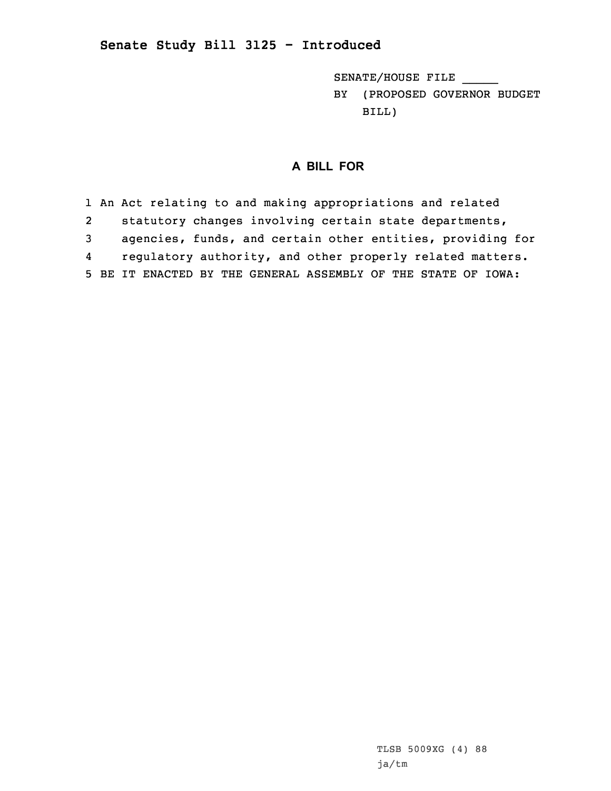SENATE/HOUSE FILE \_\_\_\_\_

BY (PROPOSED GOVERNOR BUDGET BILL)

## **A BILL FOR**

1 An Act relating to and making appropriations and related 2 statutory changes involving certain state departments, 3 agencies, funds, and certain other entities, providing for 4 regulatory authority, and other properly related matters. 5 BE IT ENACTED BY THE GENERAL ASSEMBLY OF THE STATE OF IOWA: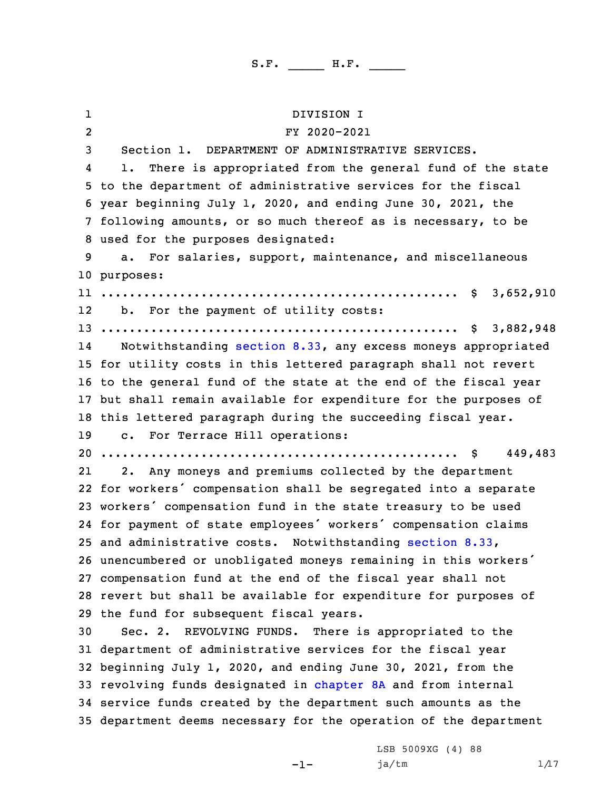1 DIVISION I 2 FY 2020-2021 Section 1. DEPARTMENT OF ADMINISTRATIVE SERVICES. 4 1. There is appropriated from the general fund of the state to the department of administrative services for the fiscal year beginning July 1, 2020, and ending June 30, 2021, the following amounts, or so much thereof as is necessary, to be used for the purposes designated: a. For salaries, support, maintenance, and miscellaneous purposes: .................................................. \$ 3,652,910 b. For the payment of utility costs: .................................................. \$ 3,882,948 14 Notwithstanding [section](https://www.legis.iowa.gov/docs/code/2020/8.33.pdf) 8.33, any excess moneys appropriated for utility costs in this lettered paragraph shall not revert to the general fund of the state at the end of the fiscal year but shall remain available for expenditure for the purposes of this lettered paragraph during the succeeding fiscal year. c. For Terrace Hill operations: .................................................. \$ 449,483 21 2. Any moneys and premiums collected by the department for workers' compensation shall be segregated into <sup>a</sup> separate workers' compensation fund in the state treasury to be used for payment of state employees' workers' compensation claims and administrative costs. Notwithstanding [section](https://www.legis.iowa.gov/docs/code/2020/8.33.pdf) 8.33, unencumbered or unobligated moneys remaining in this workers' compensation fund at the end of the fiscal year shall not revert but shall be available for expenditure for purposes of the fund for subsequent fiscal years. Sec. 2. REVOLVING FUNDS. There is appropriated to the department of administrative services for the fiscal year beginning July 1, 2020, and ending June 30, 2021, from the 33 revolving funds designated in [chapter](https://www.legis.iowa.gov/docs/code/2020/8A.pdf) 8A and from internal service funds created by the department such amounts as the department deems necessary for the operation of the department

-1-

LSB 5009XG (4) 88  $ja/tm$   $1/17$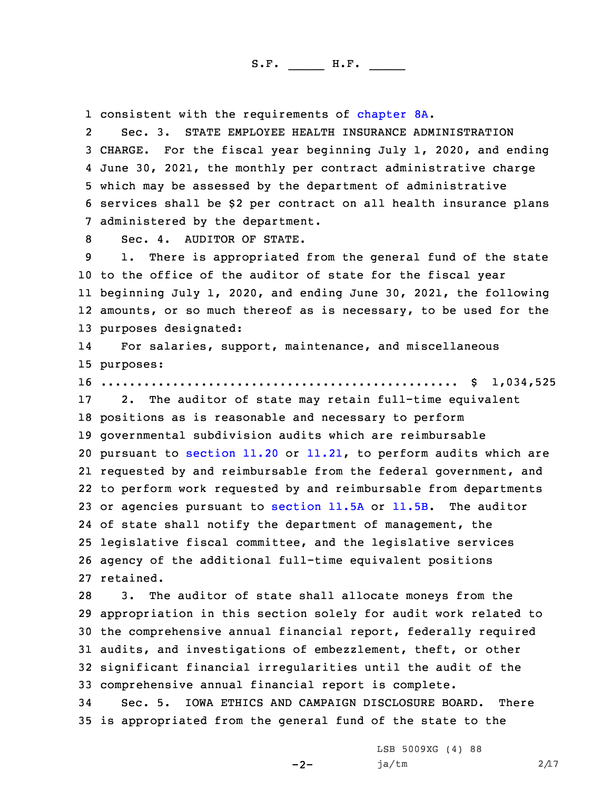1 consistent with the requirements of [chapter](https://www.legis.iowa.gov/docs/code/2020/8A.pdf) 8A.

2 Sec. 3. STATE EMPLOYEE HEALTH INSURANCE ADMINISTRATION CHARGE. For the fiscal year beginning July 1, 2020, and ending June 30, 2021, the monthly per contract administrative charge which may be assessed by the department of administrative services shall be \$2 per contract on all health insurance plans administered by the department.

8 Sec. 4. AUDITOR OF STATE.

 1. There is appropriated from the general fund of the state to the office of the auditor of state for the fiscal year beginning July 1, 2020, and ending June 30, 2021, the following amounts, or so much thereof as is necessary, to be used for the purposes designated:

14 For salaries, support, maintenance, and miscellaneous 15 purposes:

16 .................................................. \$ 1,034,525

 2. The auditor of state may retain full-time equivalent positions as is reasonable and necessary to perform governmental subdivision audits which are reimbursable pursuant to [section](https://www.legis.iowa.gov/docs/code/2020/11.20.pdf) 11.20 or [11.21](https://www.legis.iowa.gov/docs/code/2020/11.21.pdf), to perform audits which are requested by and reimbursable from the federal government, and to perform work requested by and reimbursable from departments or agencies pursuant to [section](https://www.legis.iowa.gov/docs/code/2020/11.5A.pdf) 11.5A or [11.5B](https://www.legis.iowa.gov/docs/code/2020/11.5B.pdf). The auditor of state shall notify the department of management, the legislative fiscal committee, and the legislative services agency of the additional full-time equivalent positions retained.

 3. The auditor of state shall allocate moneys from the appropriation in this section solely for audit work related to the comprehensive annual financial report, federally required audits, and investigations of embezzlement, theft, or other significant financial irregularities until the audit of the comprehensive annual financial report is complete.

34 Sec. 5. IOWA ETHICS AND CAMPAIGN DISCLOSURE BOARD. There 35 is appropriated from the general fund of the state to the

-2-

LSB 5009XG (4) 88  $ja/tm$  2/17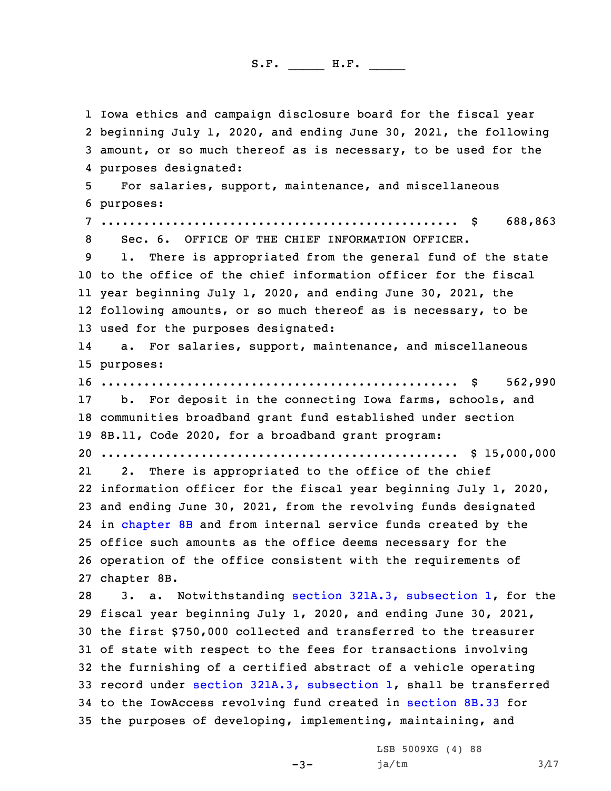Iowa ethics and campaign disclosure board for the fiscal year beginning July 1, 2020, and ending June 30, 2021, the following amount, or so much thereof as is necessary, to be used for the purposes designated: For salaries, support, maintenance, and miscellaneous purposes: .................................................. \$ 688,863 Sec. 6. OFFICE OF THE CHIEF INFORMATION OFFICER. 1. There is appropriated from the general fund of the state to the office of the chief information officer for the fiscal year beginning July 1, 2020, and ending June 30, 2021, the following amounts, or so much thereof as is necessary, to be used for the purposes designated: 14 a. For salaries, support, maintenance, and miscellaneous purposes: .................................................. \$ 562,990 b. For deposit in the connecting Iowa farms, schools, and communities broadband grant fund established under section 8B.11, Code 2020, for <sup>a</sup> broadband grant program: .................................................. \$ 15,000,000 21 2. There is appropriated to the office of the chief information officer for the fiscal year beginning July 1, 2020, and ending June 30, 2021, from the revolving funds designated in [chapter](https://www.legis.iowa.gov/docs/code/2020/8B.pdf) 8B and from internal service funds created by the office such amounts as the office deems necessary for the operation of the office consistent with the requirements of chapter 8B. 3. a. Notwithstanding section 321A.3, [subsection](https://www.legis.iowa.gov/docs/code/2020/321A.3.pdf) 1, for the fiscal year beginning July 1, 2020, and ending June 30, 2021, the first \$750,000 collected and transferred to the treasurer of state with respect to the fees for transactions involving the furnishing of <sup>a</sup> certified abstract of <sup>a</sup> vehicle operating record under section 321A.3, [subsection](https://www.legis.iowa.gov/docs/code/2020/321A.3.pdf) 1, shall be transferred to the IowAccess revolving fund created in [section](https://www.legis.iowa.gov/docs/code/2020/8B.33.pdf) 8B.33 for the purposes of developing, implementing, maintaining, and

 $-3-$ 

LSB 5009XG (4) 88  $ja/tm$   $3/17$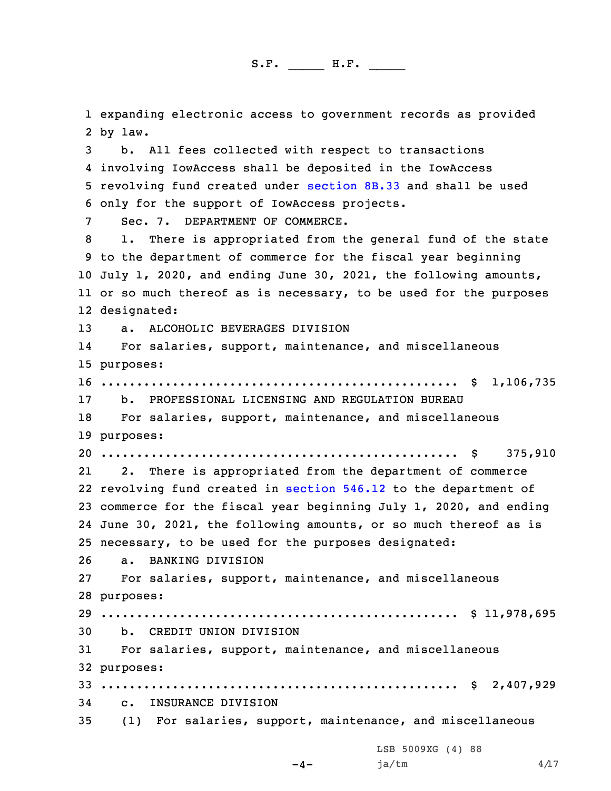expanding electronic access to government records as provided 2 by law. b. All fees collected with respect to transactions involving IowAccess shall be deposited in the IowAccess

5 revolving fund created under [section](https://www.legis.iowa.gov/docs/code/2020/8B.33.pdf) 8B.33 and shall be used 6 only for the support of IowAccess projects.

7 Sec. 7. DEPARTMENT OF COMMERCE.

 1. There is appropriated from the general fund of the state to the department of commerce for the fiscal year beginning July 1, 2020, and ending June 30, 2021, the following amounts, or so much thereof as is necessary, to be used for the purposes designated:

13 a. ALCOHOLIC BEVERAGES DIVISION

14 For salaries, support, maintenance, and miscellaneous 15 purposes:

16 .................................................. \$ 1,106,735 17 b. PROFESSIONAL LICENSING AND REGULATION BUREAU

18 For salaries, support, maintenance, and miscellaneous 19 purposes:

20 .................................................. \$ 375,910

21 2. There is appropriated from the department of commerce revolving fund created in [section](https://www.legis.iowa.gov/docs/code/2020/546.12.pdf) 546.12 to the department of commerce for the fiscal year beginning July 1, 2020, and ending June 30, 2021, the following amounts, or so much thereof as is necessary, to be used for the purposes designated:

26 a. BANKING DIVISION

27 For salaries, support, maintenance, and miscellaneous 28 purposes:

29 .................................................. \$ 11,978,695 30 b. CREDIT UNION DIVISION

31 For salaries, support, maintenance, and miscellaneous 32 purposes:

33 .................................................. \$ 2,407,929

34 c. INSURANCE DIVISION

35 (1) For salaries, support, maintenance, and miscellaneous

LSB 5009XG (4) 88

```
-4-
```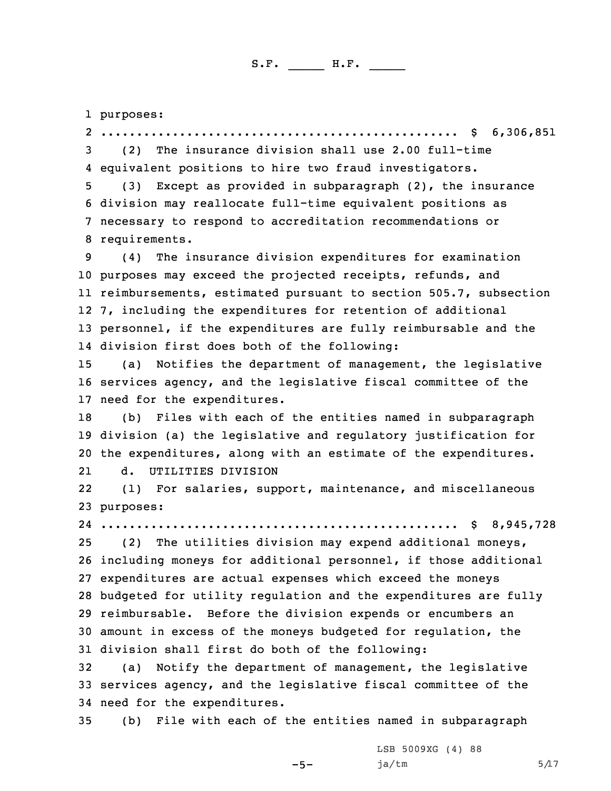1 purposes:

2 .................................................. \$ 6,306,851 3 (2) The insurance division shall use 2.00 full-time 4 equivalent positions to hire two fraud investigators.

 (3) Except as provided in subparagraph (2), the insurance division may reallocate full-time equivalent positions as necessary to respond to accreditation recommendations or requirements.

 (4) The insurance division expenditures for examination purposes may exceed the projected receipts, refunds, and reimbursements, estimated pursuant to section 505.7, subsection 7, including the expenditures for retention of additional personnel, if the expenditures are fully reimbursable and the division first does both of the following:

15 (a) Notifies the department of management, the legislative 16 services agency, and the legislative fiscal committee of the 17 need for the expenditures.

18 (b) Files with each of the entities named in subparagraph 19 division (a) the legislative and regulatory justification for 20 the expenditures, along with an estimate of the expenditures. 21d. UTILITIES DIVISION

22 (1) For salaries, support, maintenance, and miscellaneous 23 purposes:

 .................................................. \$ 8,945,728 (2) The utilities division may expend additional moneys, including moneys for additional personnel, if those additional expenditures are actual expenses which exceed the moneys budgeted for utility regulation and the expenditures are fully reimbursable. Before the division expends or encumbers an amount in excess of the moneys budgeted for regulation, the

31 division shall first do both of the following:

32 (a) Notify the department of management, the legislative 33 services agency, and the legislative fiscal committee of the 34 need for the expenditures.

35 (b) File with each of the entities named in subparagraph

-5-

LSB 5009XG (4) 88  $ja/tm$  5/17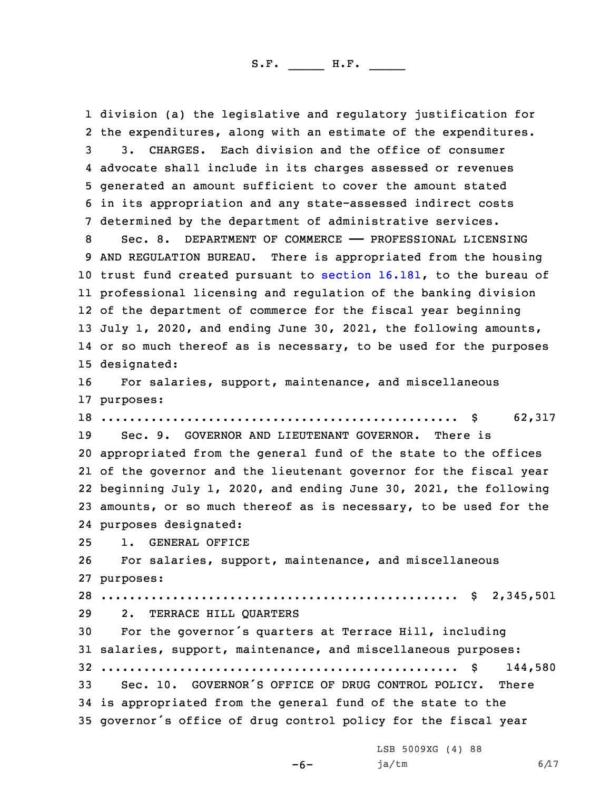division (a) the legislative and regulatory justification for the expenditures, along with an estimate of the expenditures. 3. CHARGES. Each division and the office of consumer advocate shall include in its charges assessed or revenues generated an amount sufficient to cover the amount stated in its appropriation and any state-assessed indirect costs determined by the department of administrative services. 8 Sec. 8. DEPARTMENT OF COMMERCE - PROFESSIONAL LICENSING AND REGULATION BUREAU. There is appropriated from the housing trust fund created pursuant to [section](https://www.legis.iowa.gov/docs/code/2020/16.181.pdf) 16.181, to the bureau of professional licensing and regulation of the banking division of the department of commerce for the fiscal year beginning July 1, 2020, and ending June 30, 2021, the following amounts, or so much thereof as is necessary, to be used for the purposes designated: For salaries, support, maintenance, and miscellaneous purposes: .................................................. \$ 62,317 Sec. 9. GOVERNOR AND LIEUTENANT GOVERNOR. There is appropriated from the general fund of the state to the offices of the governor and the lieutenant governor for the fiscal year beginning July 1, 2020, and ending June 30, 2021, the following amounts, or so much thereof as is necessary, to be used for the purposes designated: 1. GENERAL OFFICE For salaries, support, maintenance, and miscellaneous purposes: .................................................. \$ 2,345,501 2. TERRACE HILL QUARTERS For the governor's quarters at Terrace Hill, including salaries, support, maintenance, and miscellaneous purposes: .................................................. \$ 144,580 Sec. 10. GOVERNOR'S OFFICE OF DRUG CONTROL POLICY. There is appropriated from the general fund of the state to the governor's office of drug control policy for the fiscal year

LSB 5009XG (4) 88

ja/tm  $6/17$ 

-6-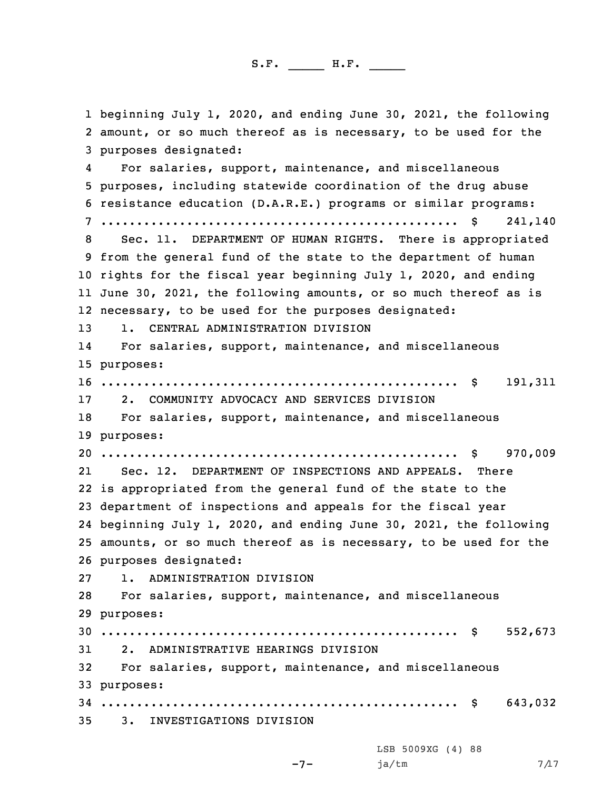beginning July 1, 2020, and ending June 30, 2021, the following amount, or so much thereof as is necessary, to be used for the purposes designated: 4 For salaries, support, maintenance, and miscellaneous purposes, including statewide coordination of the drug abuse resistance education (D.A.R.E.) programs or similar programs: .................................................. \$ 241,140 Sec. 11. DEPARTMENT OF HUMAN RIGHTS. There is appropriated from the general fund of the state to the department of human rights for the fiscal year beginning July 1, 2020, and ending June 30, 2021, the following amounts, or so much thereof as is necessary, to be used for the purposes designated: 1. CENTRAL ADMINISTRATION DIVISION 14 For salaries, support, maintenance, and miscellaneous purposes: .................................................. \$ 191,311 2. COMMUNITY ADVOCACY AND SERVICES DIVISION For salaries, support, maintenance, and miscellaneous purposes: .................................................. \$ 970,009 21 Sec. 12. DEPARTMENT OF INSPECTIONS AND APPEALS. There is appropriated from the general fund of the state to the department of inspections and appeals for the fiscal year beginning July 1, 2020, and ending June 30, 2021, the following amounts, or so much thereof as is necessary, to be used for the purposes designated: 1. ADMINISTRATION DIVISION For salaries, support, maintenance, and miscellaneous purposes: .................................................. \$ 552,673 2. ADMINISTRATIVE HEARINGS DIVISION For salaries, support, maintenance, and miscellaneous purposes: .................................................. \$ 643,032 3. INVESTIGATIONS DIVISION

-7-

LSB 5009XG (4) 88  $ja/tm$  7/17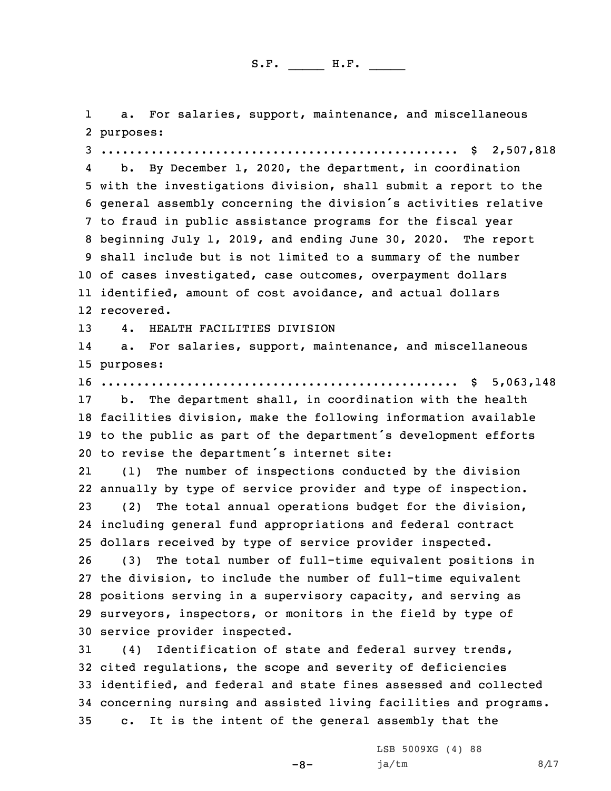1 a. For salaries, support, maintenance, and miscellaneous 2 purposes: 3 .................................................. \$ 2,507,818

4 b. By December 1, 2020, the department, in coordination with the investigations division, shall submit <sup>a</sup> report to the general assembly concerning the division's activities relative to fraud in public assistance programs for the fiscal year beginning July 1, 2019, and ending June 30, 2020. The report shall include but is not limited to <sup>a</sup> summary of the number of cases investigated, case outcomes, overpayment dollars identified, amount of cost avoidance, and actual dollars recovered.

13 4. HEALTH FACILITIES DIVISION

14 a. For salaries, support, maintenance, and miscellaneous 15 purposes:

16 .................................................. \$ 5,063,148

 b. The department shall, in coordination with the health facilities division, make the following information available to the public as part of the department's development efforts to revise the department's internet site:

21 (1) The number of inspections conducted by the division annually by type of service provider and type of inspection. (2) The total annual operations budget for the division, including general fund appropriations and federal contract dollars received by type of service provider inspected.

 (3) The total number of full-time equivalent positions in the division, to include the number of full-time equivalent positions serving in <sup>a</sup> supervisory capacity, and serving as surveyors, inspectors, or monitors in the field by type of service provider inspected.

 (4) Identification of state and federal survey trends, cited regulations, the scope and severity of deficiencies identified, and federal and state fines assessed and collected concerning nursing and assisted living facilities and programs. c. It is the intent of the general assembly that the

-8-

LSB 5009XG (4) 88  $ja/tm$  8/17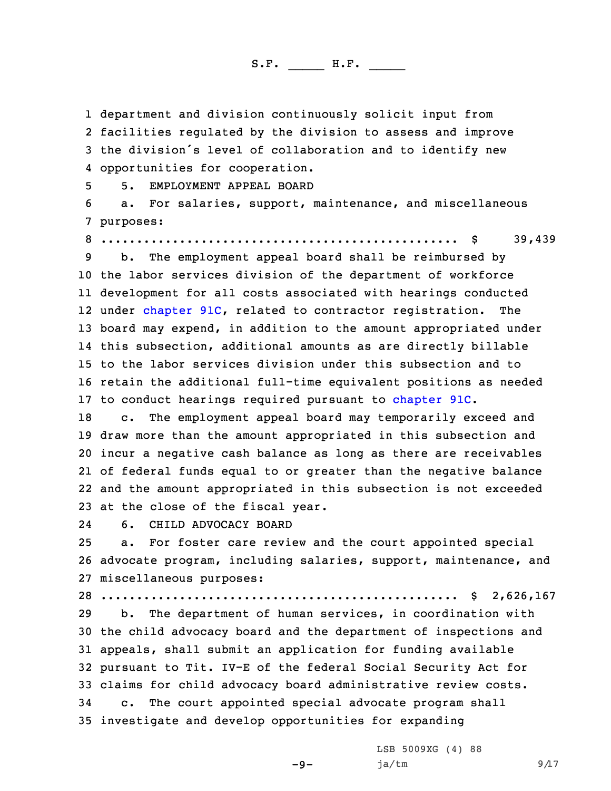1 department and division continuously solicit input from

 facilities regulated by the division to assess and improve the division's level of collaboration and to identify new opportunities for cooperation. 5. EMPLOYMENT APPEAL BOARD a. For salaries, support, maintenance, and miscellaneous purposes: .................................................. \$ 39,439 b. The employment appeal board shall be reimbursed by the labor services division of the department of workforce development for all costs associated with hearings conducted 12 under [chapter](https://www.legis.iowa.gov/docs/code/2020/91C.pdf) 91C, related to contractor registration. The board may expend, in addition to the amount appropriated under this subsection, additional amounts as are directly billable to the labor services division under this subsection and to retain the additional full-time equivalent positions as needed to conduct hearings required pursuant to [chapter](https://www.legis.iowa.gov/docs/code/2020/91C.pdf) 91C. c. The employment appeal board may temporarily exceed and draw more than the amount appropriated in this subsection and incur <sup>a</sup> negative cash balance as long as there are receivables of federal funds equal to or greater than the negative balance and the amount appropriated in this subsection is not exceeded at the close of the fiscal year. 24 6. CHILD ADVOCACY BOARD a. For foster care review and the court appointed special advocate program, including salaries, support, maintenance, and miscellaneous purposes: .................................................. \$ 2,626,167 b. The department of human services, in coordination with the child advocacy board and the department of inspections and appeals, shall submit an application for funding available pursuant to Tit. IV-E of the federal Social Security Act for claims for child advocacy board administrative review costs. c. The court appointed special advocate program shall investigate and develop opportunities for expanding LSB 5009XG (4) 88

 $-9-$ 

 $ja/tm$  9/17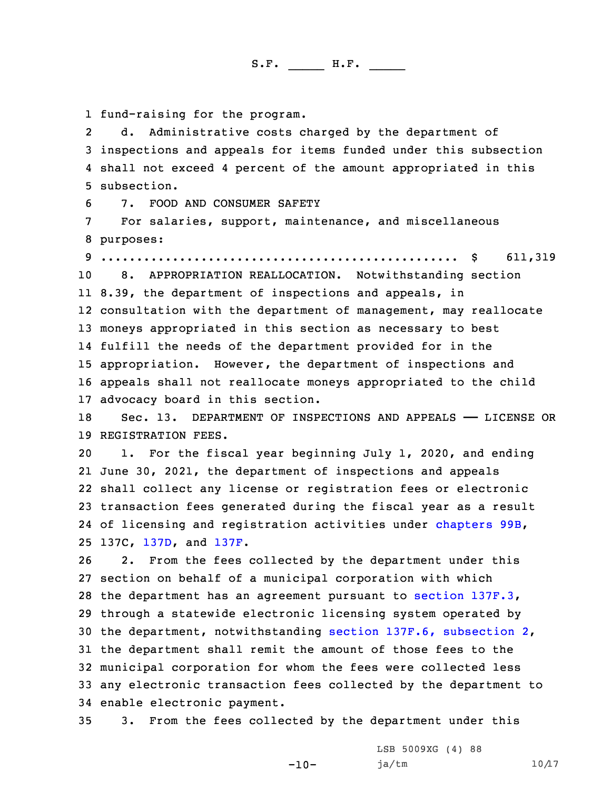1 fund-raising for the program.

2 d. Administrative costs charged by the department of 3 inspections and appeals for items funded under this subsection 4 shall not exceed 4 percent of the amount appropriated in this 5 subsection.

6 7. FOOD AND CONSUMER SAFETY

7 For salaries, support, maintenance, and miscellaneous 8 purposes:

9 .................................................. \$ 611,319

 8. APPROPRIATION REALLOCATION. Notwithstanding section 8.39, the department of inspections and appeals, in consultation with the department of management, may reallocate moneys appropriated in this section as necessary to best fulfill the needs of the department provided for in the appropriation. However, the department of inspections and appeals shall not reallocate moneys appropriated to the child advocacy board in this section.

18 Sec. 13. DEPARTMENT OF INSPECTIONS AND APPEALS —— LICENSE OR 19 REGISTRATION FEES.

 1. For the fiscal year beginning July 1, 2020, and ending June 30, 2021, the department of inspections and appeals shall collect any license or registration fees or electronic transaction fees generated during the fiscal year as <sup>a</sup> result of licensing and registration activities under [chapters](https://www.legis.iowa.gov/docs/code/2020/99B.pdf) 99B, 137C, [137D](https://www.legis.iowa.gov/docs/code/2020/137D.pdf), and [137F](https://www.legis.iowa.gov/docs/code/2020/137F.pdf).

 2. From the fees collected by the department under this section on behalf of <sup>a</sup> municipal corporation with which the department has an agreement pursuant to section [137F.3](https://www.legis.iowa.gov/docs/code/2020/137F.3.pdf), through <sup>a</sup> statewide electronic licensing system operated by the department, notwithstanding section 137F.6, [subsection](https://www.legis.iowa.gov/docs/code/2020/137F.6.pdf) 2, the department shall remit the amount of those fees to the municipal corporation for whom the fees were collected less any electronic transaction fees collected by the department to enable electronic payment.

35 3. From the fees collected by the department under this

-10-

LSB 5009XG (4) 88 ja/tm 10/17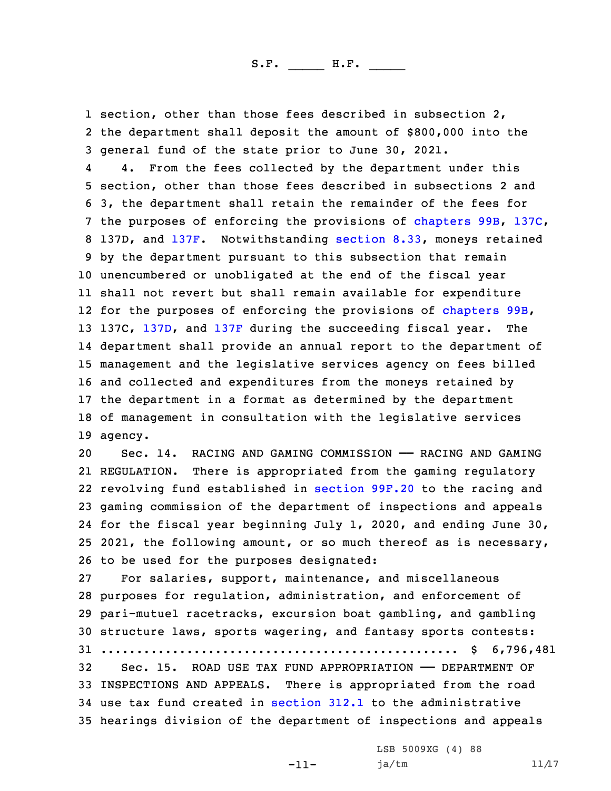1 section, other than those fees described in subsection 2, 2 the department shall deposit the amount of \$800,000 into the 3 general fund of the state prior to June 30, 2021.

4 4. From the fees collected by the department under this section, other than those fees described in subsections 2 and 3, the department shall retain the remainder of the fees for the purposes of enforcing the provisions of [chapters](https://www.legis.iowa.gov/docs/code/2020/99B.pdf) 99B, [137C](https://www.legis.iowa.gov/docs/code/2020/137C.pdf), 137D, and [137F](https://www.legis.iowa.gov/docs/code/2020/137C.pdf). Notwithstanding [section](https://www.legis.iowa.gov/docs/code/2020/8.33.pdf) 8.33, moneys retained by the department pursuant to this subsection that remain unencumbered or unobligated at the end of the fiscal year shall not revert but shall remain available for expenditure for the purposes of enforcing the provisions of [chapters](https://www.legis.iowa.gov/docs/code/2020/99B.pdf) 99B, 13 137C, [137D](https://www.legis.iowa.gov/docs/code/2020/137D.pdf), and [137F](https://www.legis.iowa.gov/docs/code/2020/137F.pdf) during the succeeding fiscal year. The department shall provide an annual report to the department of management and the legislative services agency on fees billed and collected and expenditures from the moneys retained by the department in <sup>a</sup> format as determined by the department of management in consultation with the legislative services 19 agency.

 Sec. 14. RACING AND GAMING COMMISSION —— RACING AND GAMING REGULATION. There is appropriated from the gaming regulatory revolving fund established in [section](https://www.legis.iowa.gov/docs/code/2020/99F.20.pdf) 99F.20 to the racing and gaming commission of the department of inspections and appeals for the fiscal year beginning July 1, 2020, and ending June 30, 2021, the following amount, or so much thereof as is necessary, to be used for the purposes designated:

 For salaries, support, maintenance, and miscellaneous purposes for regulation, administration, and enforcement of pari-mutuel racetracks, excursion boat gambling, and gambling structure laws, sports wagering, and fantasy sports contests: .................................................. \$ 6,796,481 Sec. 15. ROAD USE TAX FUND APPROPRIATION —— DEPARTMENT OF INSPECTIONS AND APPEALS. There is appropriated from the road use tax fund created in [section](https://www.legis.iowa.gov/docs/code/2020/312.1.pdf) 312.1 to the administrative

35 hearings division of the department of inspections and appeals

-11-

LSB 5009XG (4) 88 ja/tm 11/17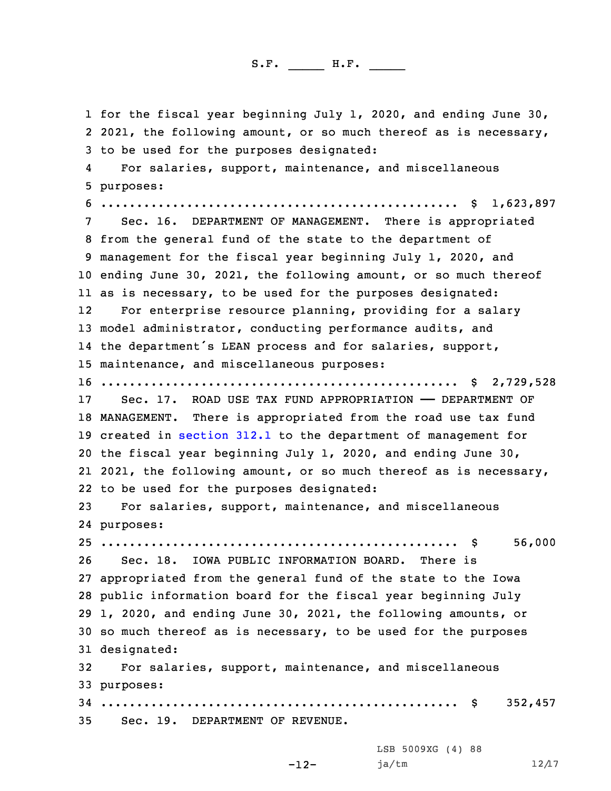for the fiscal year beginning July 1, 2020, and ending June 30, 2 2021, the following amount, or so much thereof as is necessary, to be used for the purposes designated: 4 For salaries, support, maintenance, and miscellaneous purposes: .................................................. \$ 1,623,897 Sec. 16. DEPARTMENT OF MANAGEMENT. There is appropriated from the general fund of the state to the department of management for the fiscal year beginning July 1, 2020, and ending June 30, 2021, the following amount, or so much thereof as is necessary, to be used for the purposes designated: 12 For enterprise resource planning, providing for <sup>a</sup> salary model administrator, conducting performance audits, and the department's LEAN process and for salaries, support, maintenance, and miscellaneous purposes: .................................................. \$ 2,729,528 Sec. 17. ROAD USE TAX FUND APPROPRIATION —— DEPARTMENT OF MANAGEMENT. There is appropriated from the road use tax fund created in [section](https://www.legis.iowa.gov/docs/code/2020/312.1.pdf) 312.1 to the department of management for the fiscal year beginning July 1, 2020, and ending June 30, 21 2021, the following amount, or so much thereof as is necessary, to be used for the purposes designated: For salaries, support, maintenance, and miscellaneous purposes: .................................................. \$ 56,000 Sec. 18. IOWA PUBLIC INFORMATION BOARD. There is appropriated from the general fund of the state to the Iowa public information board for the fiscal year beginning July 1, 2020, and ending June 30, 2021, the following amounts, or so much thereof as is necessary, to be used for the purposes designated: For salaries, support, maintenance, and miscellaneous purposes: .................................................. \$ 352,457 Sec. 19. DEPARTMENT OF REVENUE.

-12-

LSB 5009XG (4) 88 ja/tm 12/17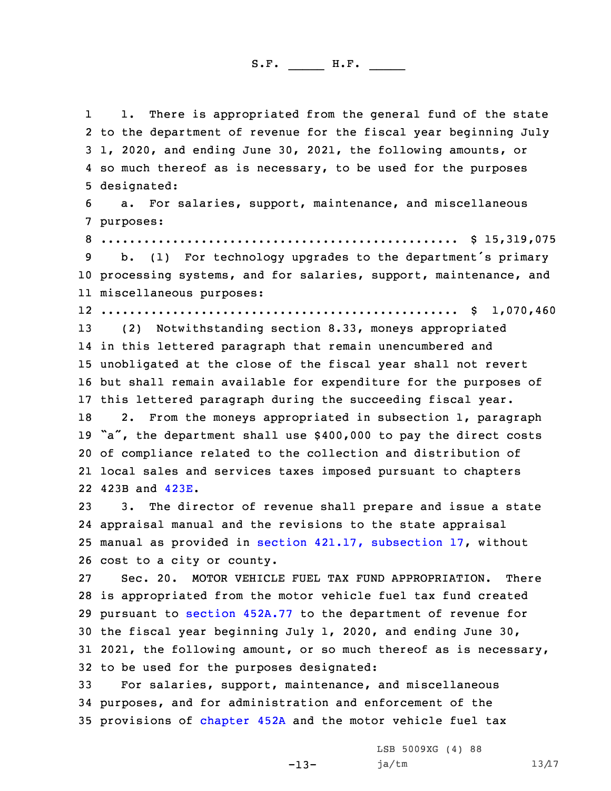1 1. There is appropriated from the general fund of the state to the department of revenue for the fiscal year beginning July 1, 2020, and ending June 30, 2021, the following amounts, or 4 so much thereof as is necessary, to be used for the purposes designated: a. For salaries, support, maintenance, and miscellaneous purposes: .................................................. \$ 15,319,075 b. (1) For technology upgrades to the department's primary processing systems, and for salaries, support, maintenance, and miscellaneous purposes: .................................................. \$ 1,070,460 (2) Notwithstanding section 8.33, moneys appropriated in this lettered paragraph that remain unencumbered and unobligated at the close of the fiscal year shall not revert but shall remain available for expenditure for the purposes of this lettered paragraph during the succeeding fiscal year. 18 2. From the moneys appropriated in subsection 1, paragraph "a", the department shall use \$400,000 to pay the direct costs of compliance related to the collection and distribution of local sales and services taxes imposed pursuant to chapters 423B and [423E](https://www.legis.iowa.gov/docs/code/2020/423E.pdf). 3. The director of revenue shall prepare and issue <sup>a</sup> state appraisal manual and the revisions to the state appraisal manual as provided in section 421.17, [subsection](https://www.legis.iowa.gov/docs/code/2020/421.17.pdf) 17, without cost to <sup>a</sup> city or county. Sec. 20. MOTOR VEHICLE FUEL TAX FUND APPROPRIATION. There is appropriated from the motor vehicle fuel tax fund created pursuant to section [452A.77](https://www.legis.iowa.gov/docs/code/2020/452A.77.pdf) to the department of revenue for the fiscal year beginning July 1, 2020, and ending June 30, 2021, the following amount, or so much thereof as is necessary, to be used for the purposes designated: For salaries, support, maintenance, and miscellaneous purposes, and for administration and enforcement of the provisions of [chapter](https://www.legis.iowa.gov/docs/code/2020/452A.pdf) 452A and the motor vehicle fuel tax

-13-

LSB 5009XG (4) 88 ja/tm 13/17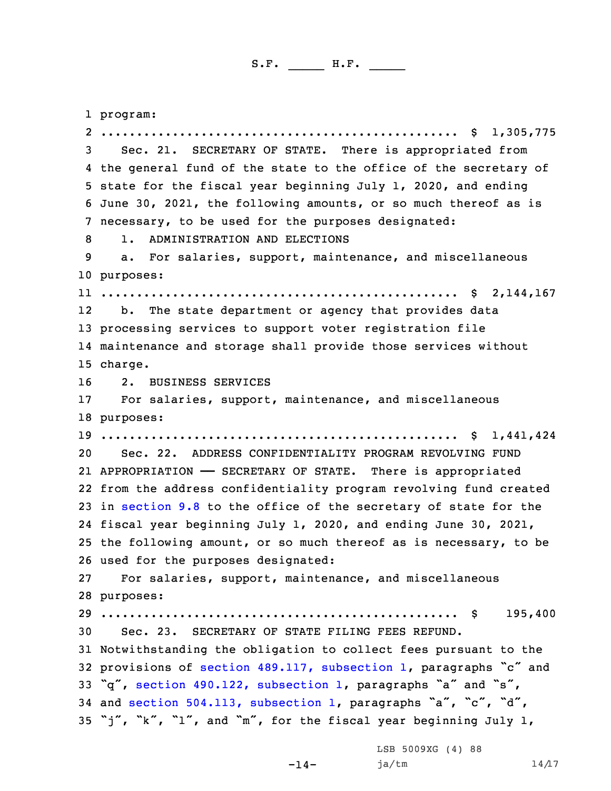1 program: .................................................. \$ 1,305,775 Sec. 21. SECRETARY OF STATE. There is appropriated from the general fund of the state to the office of the secretary of state for the fiscal year beginning July 1, 2020, and ending June 30, 2021, the following amounts, or so much thereof as is necessary, to be used for the purposes designated: 1. ADMINISTRATION AND ELECTIONS a. For salaries, support, maintenance, and miscellaneous purposes: .................................................. \$ 2,144,167 12 b. The state department or agency that provides data processing services to support voter registration file maintenance and storage shall provide those services without 15 charge. 2. BUSINESS SERVICES 17 For salaries, support, maintenance, and miscellaneous purposes: .................................................. \$ 1,441,424 Sec. 22. ADDRESS CONFIDENTIALITY PROGRAM REVOLVING FUND APPROPRIATION —— SECRETARY OF STATE. There is appropriated from the address confidentiality program revolving fund created in [section](https://www.legis.iowa.gov/docs/code/2020/9.8.pdf) 9.8 to the office of the secretary of state for the fiscal year beginning July 1, 2020, and ending June 30, 2021, the following amount, or so much thereof as is necessary, to be used for the purposes designated: For salaries, support, maintenance, and miscellaneous purposes: .................................................. \$ 195,400 Sec. 23. SECRETARY OF STATE FILING FEES REFUND. Notwithstanding the obligation to collect fees pursuant to the provisions of section 489.117, [subsection](https://www.legis.iowa.gov/docs/code/2020/489.117.pdf) 1, paragraphs "c" and "q", section 490.122, [subsection](https://www.legis.iowa.gov/docs/code/2020/490.122.pdf) 1, paragraphs "a" and "s", and section 504.113, [subsection](https://www.legis.iowa.gov/docs/code/2020/504.113.pdf) 1, paragraphs "a", "c", "d", "j", "k", "l", and "m", for the fiscal year beginning July 1,

-14-

LSB 5009XG (4) 88  $ja/tm$  14/17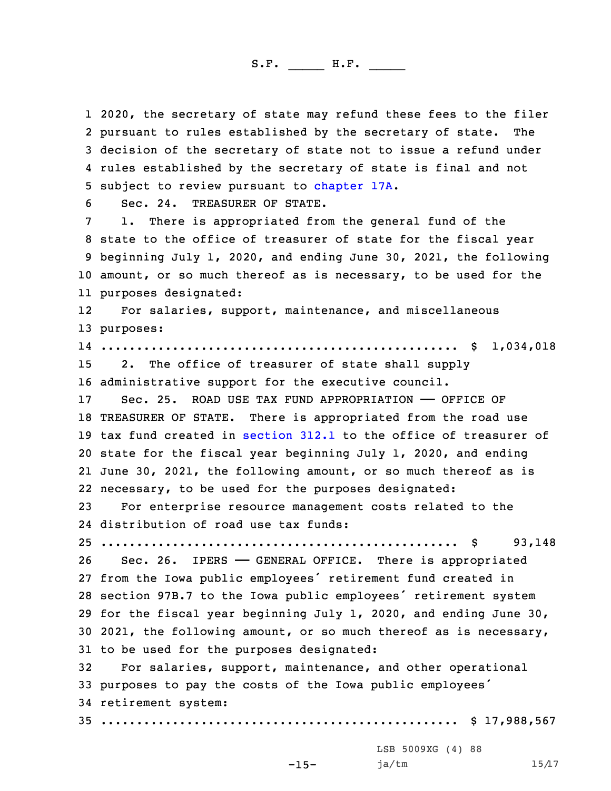2020, the secretary of state may refund these fees to the filer pursuant to rules established by the secretary of state. The decision of the secretary of state not to issue <sup>a</sup> refund under rules established by the secretary of state is final and not subject to review pursuant to [chapter](https://www.legis.iowa.gov/docs/code/2020/17A.pdf) 17A.

6 Sec. 24. TREASURER OF STATE.

 1. There is appropriated from the general fund of the state to the office of treasurer of state for the fiscal year beginning July 1, 2020, and ending June 30, 2021, the following amount, or so much thereof as is necessary, to be used for the purposes designated:

12 For salaries, support, maintenance, and miscellaneous 13 purposes:

 .................................................. \$ 1,034,018 2. The office of treasurer of state shall supply administrative support for the executive council. 17 Sec. 25. ROAD USE TAX FUND APPROPRIATION - OFFICE OF

 TREASURER OF STATE. There is appropriated from the road use tax fund created in [section](https://www.legis.iowa.gov/docs/code/2020/312.1.pdf) 312.1 to the office of treasurer of state for the fiscal year beginning July 1, 2020, and ending June 30, 2021, the following amount, or so much thereof as is necessary, to be used for the purposes designated:

23 For enterprise resource management costs related to the 24 distribution of road use tax funds:

25 .................................................. \$ 93,148

26 Sec. 26. IPERS - GENERAL OFFICE. There is appropriated from the Iowa public employees' retirement fund created in section 97B.7 to the Iowa public employees' retirement system for the fiscal year beginning July 1, 2020, and ending June 30, 2021, the following amount, or so much thereof as is necessary, to be used for the purposes designated:

 For salaries, support, maintenance, and other operational purposes to pay the costs of the Iowa public employees' retirement system: .................................................. \$ 17,988,567

-15-

LSB 5009XG (4) 88 ja/tm 15/17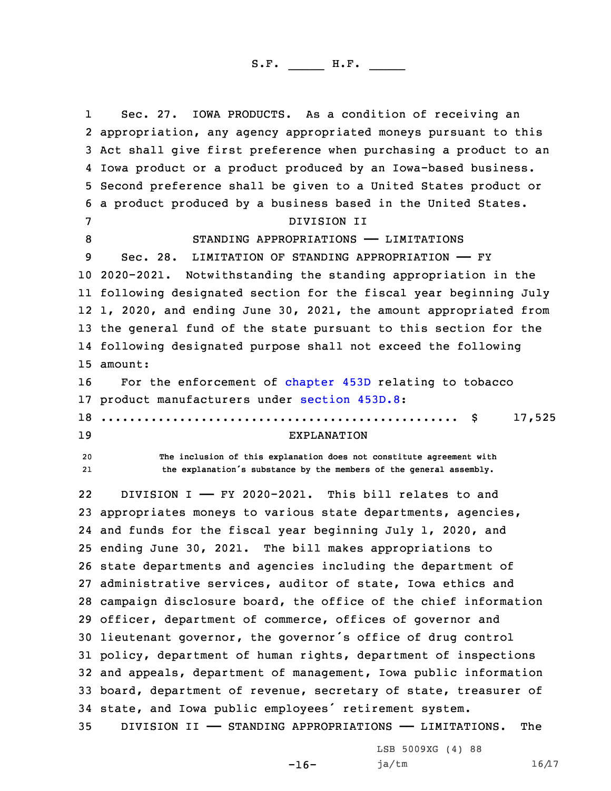1 Sec. 27. IOWA PRODUCTS. As <sup>a</sup> condition of receiving an appropriation, any agency appropriated moneys pursuant to this Act shall give first preference when purchasing <sup>a</sup> product to an Iowa product or <sup>a</sup> product produced by an Iowa-based business. Second preference shall be given to <sup>a</sup> United States product or <sup>a</sup> product produced by <sup>a</sup> business based in the United States. DIVISION II STANDING APPROPRIATIONS —— LIMITATIONS 9 Sec. 28. LIMITATION OF STANDING APPROPRIATION - FY 2020-2021. Notwithstanding the standing appropriation in the following designated section for the fiscal year beginning July 1, 2020, and ending June 30, 2021, the amount appropriated from the general fund of the state pursuant to this section for the following designated purpose shall not exceed the following 15 amount: For the enforcement of [chapter](https://www.legis.iowa.gov/docs/code/2020/453D.pdf) 453D relating to tobacco product manufacturers under [section](https://www.legis.iowa.gov/docs/code/2020/453D.8.pdf) 453D.8: .................................................. \$ 17,525 EXPLANATION **The inclusion of this explanation does not constitute agreement with** 21 **the explanation's substance by the members of the general assembly.** 22 DIVISION I —— FY 2020-2021. This bill relates to and appropriates moneys to various state departments, agencies, and funds for the fiscal year beginning July 1, 2020, and ending June 30, 2021. The bill makes appropriations to state departments and agencies including the department of administrative services, auditor of state, Iowa ethics and campaign disclosure board, the office of the chief information officer, department of commerce, offices of governor and lieutenant governor, the governor's office of drug control policy, department of human rights, department of inspections and appeals, department of management, Iowa public information board, department of revenue, secretary of state, treasurer of state, and Iowa public employees' retirement system. DIVISION II —— STANDING APPROPRIATIONS —— LIMITATIONS. The

-16-

LSB 5009XG (4) 88  $ja/tm$  16/17